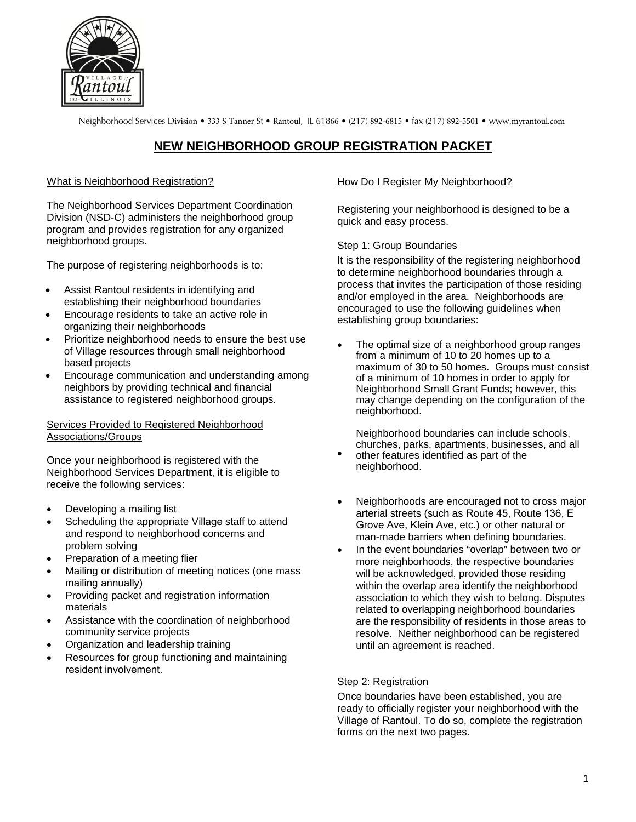

Neighborhood Services Division • 333 S Tanner St • Rantoul, IL 61866 • (217) 892-6815 • fax (217) 892-5501 • www.myrantoul.com

# **NEW NEIGHBORHOOD GROUP REGISTRATION PACKET**

#### What is Neighborhood Registration?

The Neighborhood Services Department Coordination Division (NSD-C) administers the neighborhood group program and provides registration for any organized neighborhood groups.

The purpose of registering neighborhoods is to:

- Assist Rantoul residents in identifying and establishing their neighborhood boundaries
- Encourage residents to take an active role in organizing their neighborhoods
- Prioritize neighborhood needs to ensure the best use of Village resources through small neighborhood based projects
- Encourage communication and understanding among neighbors by providing technical and financial assistance to registered neighborhood groups.

#### Services Provided to Registered Neighborhood Associations/Groups

Once your neighborhood is registered with the Neighborhood Services Department, it is eligible to receive the following services:

- Developing a mailing list
- Scheduling the appropriate Village staff to attend and respond to neighborhood concerns and problem solving
- Preparation of a meeting flier
- Mailing or distribution of meeting notices (one mass mailing annually)
- Providing packet and registration information materials
- Assistance with the coordination of neighborhood community service projects
- Organization and leadership training
- Resources for group functioning and maintaining resident involvement.

### How Do I Register My Neighborhood?

Registering your neighborhood is designed to be a quick and easy process.

Step 1: Group Boundaries

It is the responsibility of the registering neighborhood to determine neighborhood boundaries through a process that invites the participation of those residing and/or employed in the area. Neighborhoods are encouraged to use the following guidelines when establishing group boundaries:

• The optimal size of a neighborhood group ranges from a minimum of 10 to 20 homes up to a maximum of 30 to 50 homes. Groups must consist of a minimum of 10 homes in order to apply for Neighborhood Small Grant Funds; however, this may change depending on the configuration of the neighborhood.

Neighborhood boundaries can include schools, churches, parks, apartments, businesses, and all

- other features identified as part of the neighborhood.
- Neighborhoods are encouraged not to cross major arterial streets (such as Route 45, Route 136, E Grove Ave, Klein Ave, etc.) or other natural or man-made barriers when defining boundaries.
- In the event boundaries "overlap" between two or more neighborhoods, the respective boundaries will be acknowledged, provided those residing within the overlap area identify the neighborhood association to which they wish to belong. Disputes related to overlapping neighborhood boundaries are the responsibility of residents in those areas to resolve. Neither neighborhood can be registered until an agreement is reached.

### Step 2: Registration

Once boundaries have been established, you are ready to officially register your neighborhood with the Village of Rantoul. To do so, complete the registration forms on the next two pages.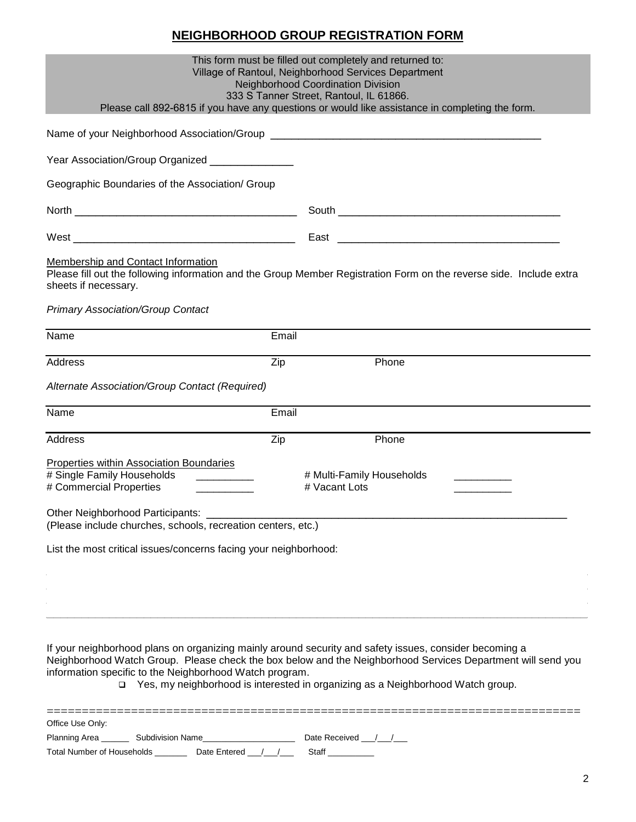# **NEIGHBORHOOD GROUP REGISTRATION FORM**

| This form must be filled out completely and returned to:<br>Village of Rantoul, Neighborhood Services Department<br><b>Neighborhood Coordination Division</b><br>333 S Tanner Street, Rantoul, IL 61866.<br>Please call 892-6815 if you have any questions or would like assistance in completing the form. |                                                                                                                                                                                                                                                                                                            |  |  |  |
|-------------------------------------------------------------------------------------------------------------------------------------------------------------------------------------------------------------------------------------------------------------------------------------------------------------|------------------------------------------------------------------------------------------------------------------------------------------------------------------------------------------------------------------------------------------------------------------------------------------------------------|--|--|--|
|                                                                                                                                                                                                                                                                                                             |                                                                                                                                                                                                                                                                                                            |  |  |  |
| Year Association/Group Organized _______________                                                                                                                                                                                                                                                            |                                                                                                                                                                                                                                                                                                            |  |  |  |
| Geographic Boundaries of the Association/ Group                                                                                                                                                                                                                                                             |                                                                                                                                                                                                                                                                                                            |  |  |  |
|                                                                                                                                                                                                                                                                                                             |                                                                                                                                                                                                                                                                                                            |  |  |  |
|                                                                                                                                                                                                                                                                                                             |                                                                                                                                                                                                                                                                                                            |  |  |  |
| Membership and Contact Information<br>Please fill out the following information and the Group Member Registration Form on the reverse side. Include extra<br>sheets if necessary.<br><b>Primary Association/Group Contact</b>                                                                               |                                                                                                                                                                                                                                                                                                            |  |  |  |
| Name                                                                                                                                                                                                                                                                                                        | Email                                                                                                                                                                                                                                                                                                      |  |  |  |
| Address                                                                                                                                                                                                                                                                                                     | Zip<br>Phone                                                                                                                                                                                                                                                                                               |  |  |  |
| Alternate Association/Group Contact (Required)                                                                                                                                                                                                                                                              |                                                                                                                                                                                                                                                                                                            |  |  |  |
|                                                                                                                                                                                                                                                                                                             |                                                                                                                                                                                                                                                                                                            |  |  |  |
| Name                                                                                                                                                                                                                                                                                                        | Email                                                                                                                                                                                                                                                                                                      |  |  |  |
| <b>Address</b>                                                                                                                                                                                                                                                                                              | Zip<br>Phone                                                                                                                                                                                                                                                                                               |  |  |  |
| Properties within Association Boundaries<br># Single Family Households<br># Commercial Properties                                                                                                                                                                                                           | # Multi-Family Households<br># Vacant Lots                                                                                                                                                                                                                                                                 |  |  |  |
| Other Neighborhood Participants:<br>(Please include churches, schools, recreation centers, etc.)                                                                                                                                                                                                            |                                                                                                                                                                                                                                                                                                            |  |  |  |
| List the most critical issues/concerns facing your neighborhood:                                                                                                                                                                                                                                            |                                                                                                                                                                                                                                                                                                            |  |  |  |
|                                                                                                                                                                                                                                                                                                             |                                                                                                                                                                                                                                                                                                            |  |  |  |
| information specific to the Neighborhood Watch program.                                                                                                                                                                                                                                                     | If your neighborhood plans on organizing mainly around security and safety issues, consider becoming a<br>Neighborhood Watch Group. Please check the box below and the Neighborhood Services Department will send you<br>⊃ Yes, my neighborhood is interested in organizing as a Neighborhood Watch group. |  |  |  |
| ==========================<br>Office Use Only:                                                                                                                                                                                                                                                              |                                                                                                                                                                                                                                                                                                            |  |  |  |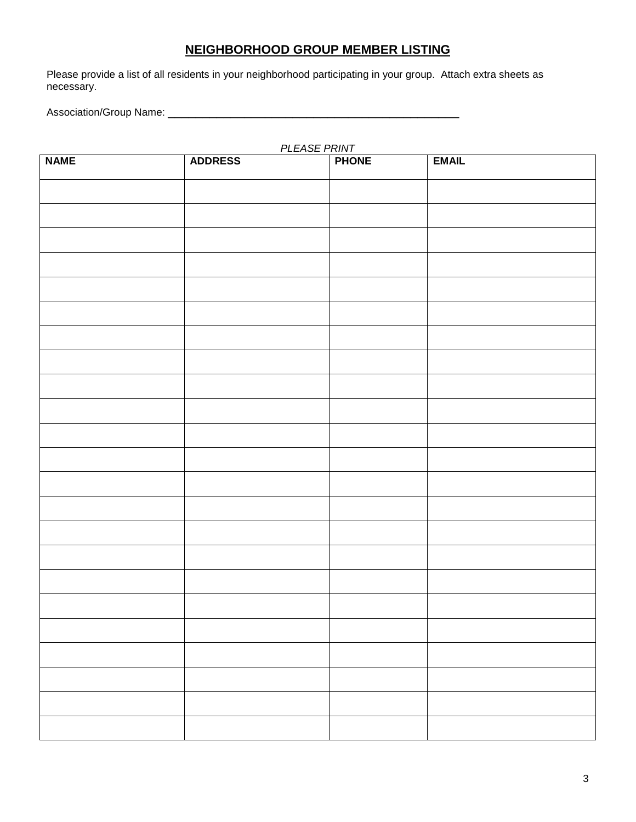## **NEIGHBORHOOD GROUP MEMBER LISTING**

Please provide a list of all residents in your neighborhood participating in your group. Attach extra sheets as necessary.

Association/Group Name: \_\_\_\_\_\_\_\_\_\_\_\_\_\_\_\_\_\_\_\_\_\_\_\_\_\_\_\_\_\_\_\_\_\_\_\_\_\_\_\_\_\_

| PLEASE PRINT |                |              |              |  |  |  |
|--------------|----------------|--------------|--------------|--|--|--|
| <b>NAME</b>  | <b>ADDRESS</b> | <b>PHONE</b> | <b>EMAIL</b> |  |  |  |
|              |                |              |              |  |  |  |
|              |                |              |              |  |  |  |
|              |                |              |              |  |  |  |
|              |                |              |              |  |  |  |
|              |                |              |              |  |  |  |
|              |                |              |              |  |  |  |
|              |                |              |              |  |  |  |
|              |                |              |              |  |  |  |
|              |                |              |              |  |  |  |
|              |                |              |              |  |  |  |
|              |                |              |              |  |  |  |
|              |                |              |              |  |  |  |
|              |                |              |              |  |  |  |
|              |                |              |              |  |  |  |
|              |                |              |              |  |  |  |
|              |                |              |              |  |  |  |
|              |                |              |              |  |  |  |
|              |                |              |              |  |  |  |
|              |                |              |              |  |  |  |
|              |                |              |              |  |  |  |
|              |                |              |              |  |  |  |
|              |                |              |              |  |  |  |
|              |                |              |              |  |  |  |
|              |                |              |              |  |  |  |
|              |                |              |              |  |  |  |